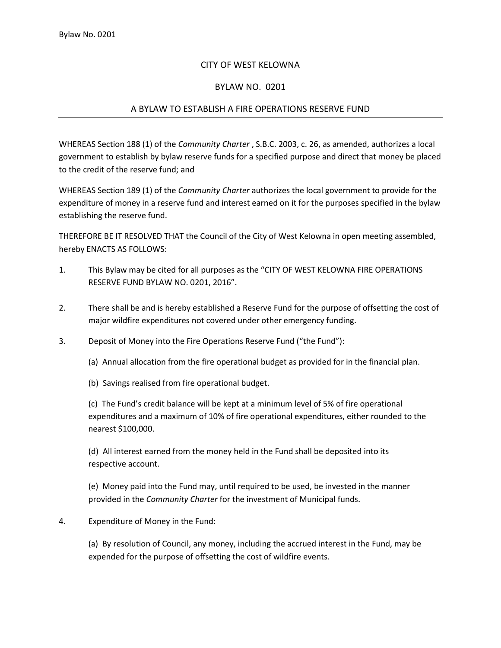## CITY OF WEST KELOWNA

## BYLAW NO. 0201

## A BYLAW TO ESTABLISH A FIRE OPERATIONS RESERVE FUND

WHEREAS Section 188 (1) of the *Community Charter* , S.B.C. 2003, c. 26, as amended, authorizes a local government to establish by bylaw reserve funds for a specified purpose and direct that money be placed to the credit of the reserve fund; and

WHEREAS Section 189 (1) of the *Community Charter* authorizes the local government to provide for the expenditure of money in a reserve fund and interest earned on it for the purposes specified in the bylaw establishing the reserve fund.

THEREFORE BE IT RESOLVED THAT the Council of the City of West Kelowna in open meeting assembled, hereby ENACTS AS FOLLOWS:

- 1. This Bylaw may be cited for all purposes as the "CITY OF WEST KELOWNA FIRE OPERATIONS RESERVE FUND BYLAW NO. 0201, 2016".
- 2. There shall be and is hereby established a Reserve Fund for the purpose of offsetting the cost of major wildfire expenditures not covered under other emergency funding.
- 3. Deposit of Money into the Fire Operations Reserve Fund ("the Fund"):
	- (a) Annual allocation from the fire operational budget as provided for in the financial plan.

(b) Savings realised from fire operational budget.

(c) The Fund's credit balance will be kept at a minimum level of 5% of fire operational expenditures and a maximum of 10% of fire operational expenditures, either rounded to the nearest \$100,000.

(d) All interest earned from the money held in the Fund shall be deposited into its respective account.

(e) Money paid into the Fund may, until required to be used, be invested in the manner provided in the *Community Charter* for the investment of Municipal funds.

## 4. Expenditure of Money in the Fund:

(a) By resolution of Council, any money, including the accrued interest in the Fund, may be expended for the purpose of offsetting the cost of wildfire events.